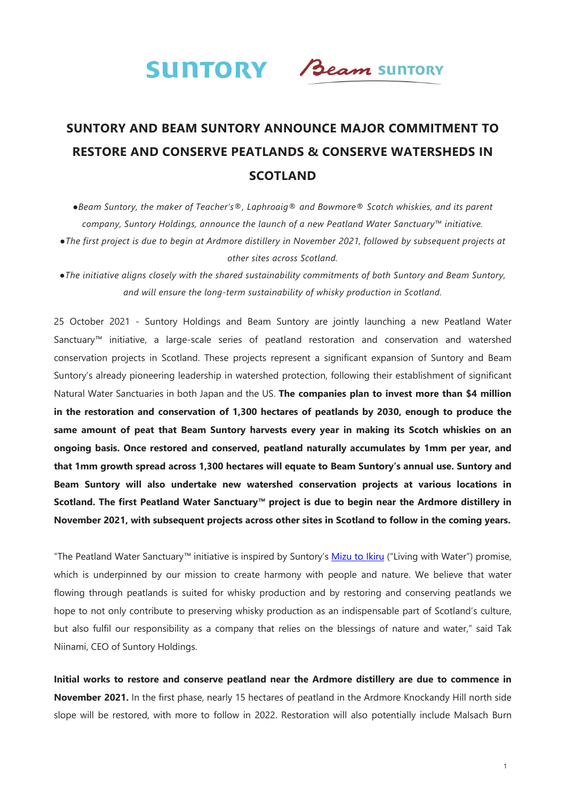

# **SUNTORY AND BEAM SUNTORY ANNOUNCE MAJOR COMMITMENT TO RESTORE AND CONSERVE PEATLANDS & CONSERVE WATERSHEDS IN SCOTLAND**

*●Beam Suntory, the maker of Teacher's®, Laphroaig® and Bowmore® Scotch whiskies, and its parent company, Suntory Holdings, announce the launch of a new Peatland Water Sanctuary™ initiative. ●The first project is due to begin at Ardmore distillery in November 2021, followed by subsequent projects at other sites across Scotland.* 

*●The initiative aligns closely with the shared sustainability commitments of both Suntory and Beam Suntory, and will ensure the long-term sustainability of whisky production in Scotland.* 

25 October 2021 - Suntory Holdings and Beam Suntory are jointly launching a new Peatland Water Sanctuary*™* initiative, a large-scale series of peatland restoration and conservation and watershed conservation projects in Scotland. These projects represent a significant expansion of Suntory and Beam Suntory's already pioneering leadership in watershed protection, following their establishment of significant Natural Water Sanctuaries in both Japan and the US. **The companies plan to invest more than \$4 million in the restoration and conservation of 1,300 hectares of peatlands by 2030, enough to produce the same amount of peat that Beam Suntory harvests every year in making its Scotch whiskies on an ongoing basis. Once restored and conserved, peatland naturally accumulates by 1mm per year, and that 1mm growth spread across 1,300 hectares will equate to Beam Suntory's annual use. Suntory and Beam Suntory will also undertake new watershed conservation projects at various locations in Scotland. The first Peatland Water Sanctuary***™* **project is due to begin near the Ardmore distillery in November 2021, with subsequent projects across other sites in Scotland to follow in the coming years.** 

"The Peatland Water Sanctuary*™* initiative is inspired by Suntory's [Mizu to Ikiru](https://www.suntory.com/about/philosophy/index.html) ("Living with Water") promise, which is underpinned by our mission to create harmony with people and nature. We believe that water flowing through peatlands is suited for whisky production and by restoring and conserving peatlands we hope to not only contribute to preserving whisky production as an indispensable part of Scotland's culture, but also fulfil our responsibility as a company that relies on the blessings of nature and water," said Tak Niinami, CEO of Suntory Holdings.

**Initial works to restore and conserve peatland near the Ardmore distillery are due to commence in November 2021.** In the first phase, nearly 15 hectares of peatland in the Ardmore Knockandy Hill north side slope will be restored, with more to follow in 2022. Restoration will also potentially include Malsach Burn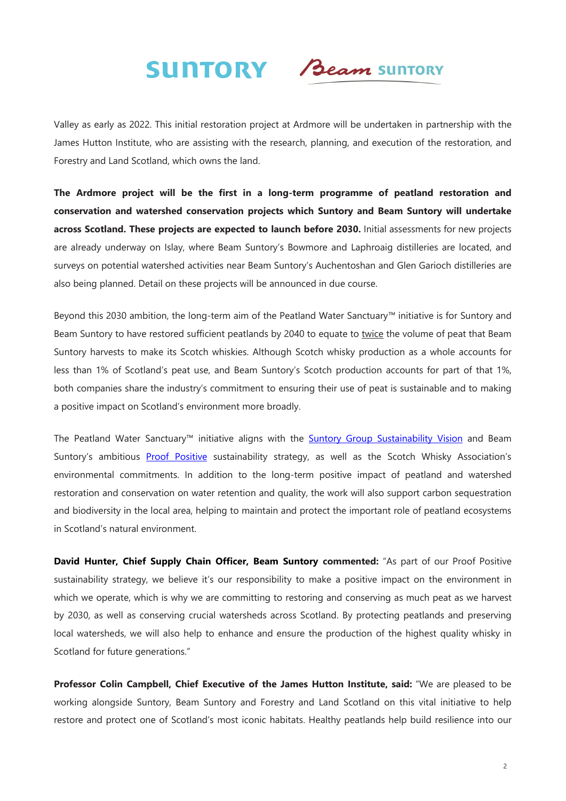

Valley as early as 2022. This initial restoration project at Ardmore will be undertaken in partnership with the James Hutton Institute, who are assisting with the research, planning, and execution of the restoration, and Forestry and Land Scotland, which owns the land.

**The Ardmore project will be the first in a long-term programme of peatland restoration and conservation and watershed conservation projects which Suntory and Beam Suntory will undertake across Scotland. These projects are expected to launch before 2030.** Initial assessments for new projects are already underway on Islay, where Beam Suntory's Bowmore and Laphroaig distilleries are located, and surveys on potential watershed activities near Beam Suntory's Auchentoshan and Glen Garioch distilleries are also being planned. Detail on these projects will be announced in due course.

Beyond this 2030 ambition, the long-term aim of the Peatland Water Sanctuary*™* initiative is for Suntory and Beam Suntory to have restored sufficient peatlands by 2040 to equate to twice the volume of peat that Beam Suntory harvests to make its Scotch whiskies. Although Scotch whisky production as a whole accounts for less than 1% of Scotland's peat use, and Beam Suntory's Scotch production accounts for part of that 1%, both companies share the industry's commitment to ensuring their use of peat is sustainable and to making a positive impact on Scotland's environment more broadly.

The Peatland Water Sanctuary™ initiative aligns with the **Suntory Group Sustainability Vision** and Beam Suntory's ambitious [Proof Positive](https://www.beamsuntory.com/en/sustainability) sustainability strategy, as well as the Scotch Whisky Association's environmental commitments. In addition to the long-term positive impact of peatland and watershed restoration and conservation on water retention and quality, the work will also support carbon sequestration and biodiversity in the local area, helping to maintain and protect the important role of peatland ecosystems in Scotland's natural environment.

**David Hunter, Chief Supply Chain Officer, Beam Suntory commented:** "As part of our Proof Positive sustainability strategy, we believe it's our responsibility to make a positive impact on the environment in which we operate, which is why we are committing to restoring and conserving as much peat as we harvest by 2030, as well as conserving crucial watersheds across Scotland. By protecting peatlands and preserving local watersheds, we will also help to enhance and ensure the production of the highest quality whisky in Scotland for future generations."

**Professor Colin Campbell, Chief Executive of the James Hutton Institute, said:** "We are pleased to be working alongside Suntory, Beam Suntory and Forestry and Land Scotland on this vital initiative to help restore and protect one of Scotland's most iconic habitats. Healthy peatlands help build resilience into our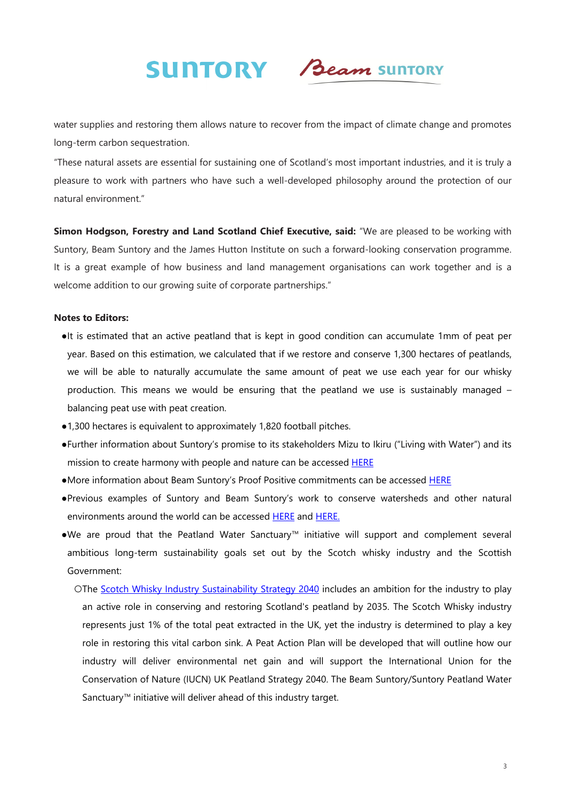

water supplies and restoring them allows nature to recover from the impact of climate change and promotes long-term carbon sequestration.

"These natural assets are essential for sustaining one of Scotland's most important industries, and it is truly a pleasure to work with partners who have such a well-developed philosophy around the protection of our natural environment."

**Simon Hodgson, Forestry and Land Scotland Chief Executive, said:** "We are pleased to be working with Suntory, Beam Suntory and the James Hutton Institute on such a forward-looking conservation programme. It is a great example of how business and land management organisations can work together and is a welcome addition to our growing suite of corporate partnerships."

### **Notes to Editors:**

- ●It is estimated that an active peatland that is kept in good condition can accumulate 1mm of peat per year. Based on this estimation, we calculated that if we restore and conserve 1,300 hectares of peatlands, we will be able to naturally accumulate the same amount of peat we use each year for our whisky production. This means we would be ensuring that the peatland we use is sustainably managed – balancing peat use with peat creation.
- ●1,300 hectares is equivalent to approximately 1,820 football pitches.
- ●Further information about Suntory's promise to its stakeholders Mizu to Ikiru ("Living with Water") and its mission to create harmony with people and nature can be accessed **HERE**
- ●More information about Beam Suntory's Proof Positive commitments can be accessed [HERE](https://www.beamsuntory.com/en/sustainability)
- ●Previous examples of Suntory and Beam Suntory's work to conserve watersheds and other natural environments around the world can be accessed [HERE](https://www.suntory.com/csr/activity/environment/) and [HERE](https://www.beamsuntory.com/sites/default/files/2021-04/Proof Positive Fact Sheet.pdf).
- ●We are proud that the Peatland Water Sanctuary*™* initiative will support and complement several ambitious long-term sustainability goals set out by the Scotch whisky industry and the Scottish Government:
	- OThe [Scotch Whisky Industry Sustainability Strategy 2040](https://www.scotch-whisky.org.uk/insights/sustainability/) includes an ambition for the industry to play an active role in conserving and restoring Scotland's peatland by 2035. The Scotch Whisky industry represents just 1% of the total peat extracted in the UK, yet the industry is determined to play a key role in restoring this vital carbon sink. A Peat Action Plan will be developed that will outline how our industry will deliver environmental net gain and will support the International Union for the Conservation of Nature (IUCN) UK Peatland Strategy 2040. The Beam Suntory/Suntory Peatland Water Sanctuary*™* initiative will deliver ahead of this industry target.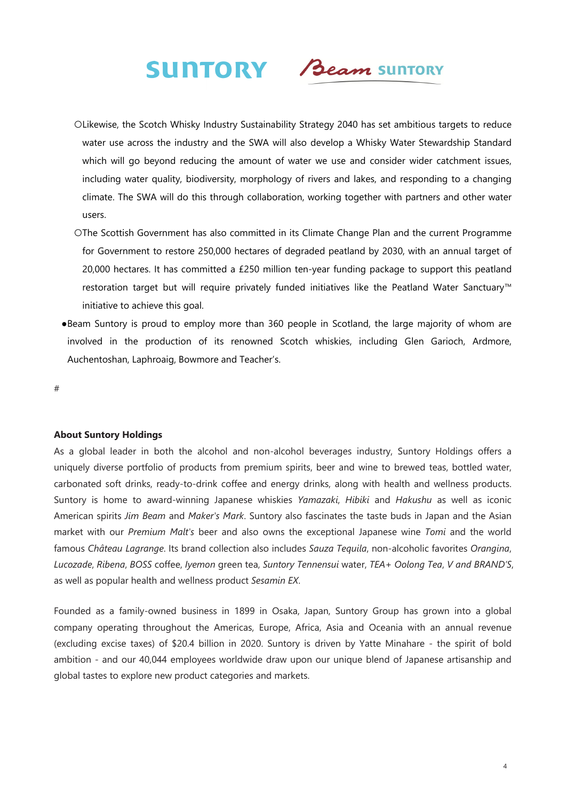

- ○Likewise, the Scotch Whisky Industry Sustainability Strategy 2040 has set ambitious targets to reduce water use across the industry and the SWA will also develop a Whisky Water Stewardship Standard which will go beyond reducing the amount of water we use and consider wider catchment issues, including water quality, biodiversity, morphology of rivers and lakes, and responding to a changing climate. The SWA will do this through collaboration, working together with partners and other water users.
- ○The Scottish Government has also committed in its Climate Change Plan and the current Programme for Government to restore 250,000 hectares of degraded peatland by 2030, with an annual target of 20,000 hectares. It has committed a £250 million ten-year funding package to support this peatland restoration target but will require privately funded initiatives like the Peatland Water Sanctuary*™* initiative to achieve this goal.
- ●Beam Suntory is proud to employ more than 360 people in Scotland, the large majority of whom are involved in the production of its renowned Scotch whiskies, including Glen Garioch, Ardmore, Auchentoshan, Laphroaig, Bowmore and Teacher's.

#

### **About Suntory Holdings**

As a global leader in both the alcohol and non-alcohol beverages industry, Suntory Holdings offers a uniquely diverse portfolio of products from premium spirits, beer and wine to brewed teas, bottled water, carbonated soft drinks, ready-to-drink coffee and energy drinks, along with health and wellness products. Suntory is home to award-winning Japanese whiskies *Yamazaki*, *Hibiki* and *Hakushu* as well as iconic American spirits *Jim Beam* and *Maker's Mark*. Suntory also fascinates the taste buds in Japan and the Asian market with our *Premium Malt's* beer and also owns the exceptional Japanese wine *Tomi* and the world famous *Château Lagrange*. Its brand collection also includes *Sauza Tequila*, non-alcoholic favorites *Orangina*, *Lucozade*, *Ribena*, *BOSS* coffee, *Iyemon* green tea, *Suntory Tennensui* water, *TEA+ Oolong Tea*, *V and BRAND'S*, as well as popular health and wellness product *Sesamin EX*.

Founded as a family-owned business in 1899 in Osaka, Japan, Suntory Group has grown into a global company operating throughout the Americas, Europe, Africa, Asia and Oceania with an annual revenue (excluding excise taxes) of \$20.4 billion in 2020. Suntory is driven by Yatte Minahare - the spirit of bold ambition - and our 40,044 employees worldwide draw upon our unique blend of Japanese artisanship and global tastes to explore new product categories and markets.